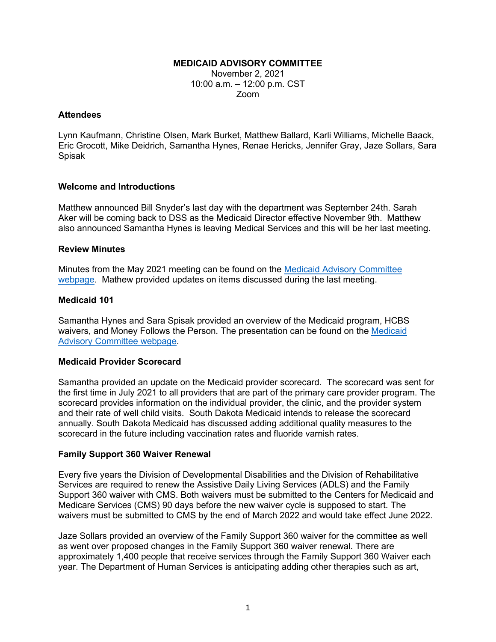## **MEDICAID ADVISORY COMMITTEE**

November 2, 2021 10:00 a.m. – 12:00 p.m. CST Zoom

#### **Attendees**

Lynn Kaufmann, Christine Olsen, Mark Burket, Matthew Ballard, Karli Williams, Michelle Baack, Eric Grocott, Mike Deidrich, Samantha Hynes, Renae Hericks, Jennifer Gray, Jaze Sollars, Sara Spisak

## **Welcome and Introductions**

Matthew announced Bill Snyder's last day with the department was September 24th. Sarah Aker will be coming back to DSS as the Medicaid Director effective November 9th. Matthew also announced Samantha Hynes is leaving Medical Services and this will be her last meeting.

## **Review Minutes**

Minutes from the May 2021 meeting can be found on the [Medicaid Advisory Committee](https://dss.sd.gov/medicaid/mac.aspx)  [webpage.](https://dss.sd.gov/medicaid/mac.aspx) Mathew provided updates on items discussed during the last meeting.

## **Medicaid 101**

Samantha Hynes and Sara Spisak provided an overview of the Medicaid program, HCBS waivers, and Money Follows the Person. The presentation can be found on the [Medicaid](https://dss.sd.gov/medicaid/mac.aspx)  [Advisory Committee webpage.](https://dss.sd.gov/medicaid/mac.aspx)

## **Medicaid Provider Scorecard**

Samantha provided an update on the Medicaid provider scorecard. The scorecard was sent for the first time in July 2021 to all providers that are part of the primary care provider program. The scorecard provides information on the individual provider, the clinic, and the provider system and their rate of well child visits. South Dakota Medicaid intends to release the scorecard annually. South Dakota Medicaid has discussed adding additional quality measures to the scorecard in the future including vaccination rates and fluoride varnish rates.

## **Family Support 360 Waiver Renewal**

Every five years the Division of Developmental Disabilities and the Division of Rehabilitative Services are required to renew the Assistive Daily Living Services (ADLS) and the Family Support 360 waiver with CMS. Both waivers must be submitted to the Centers for Medicaid and Medicare Services (CMS) 90 days before the new waiver cycle is supposed to start. The waivers must be submitted to CMS by the end of March 2022 and would take effect June 2022.

Jaze Sollars provided an overview of the Family Support 360 waiver for the committee as well as went over proposed changes in the Family Support 360 waiver renewal. There are approximately 1,400 people that receive services through the Family Support 360 Waiver each year. The Department of Human Services is anticipating adding other therapies such as art,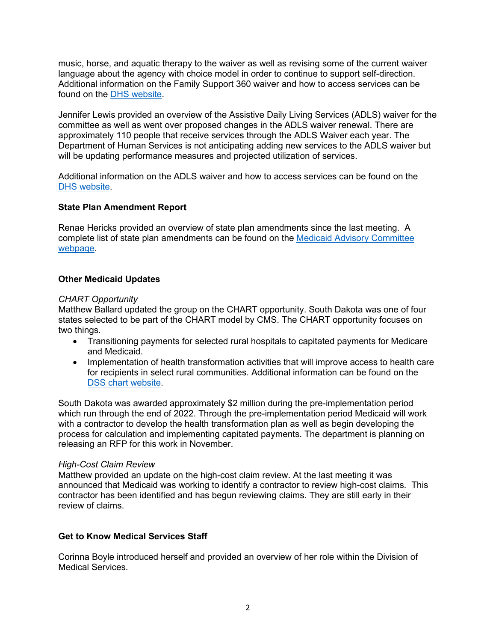music, horse, and aquatic therapy to the waiver as well as revising some of the current waiver language about the agency with choice model in order to continue to support self-direction. Additional information on the Family Support 360 waiver and how to access services can be found on the [DHS website.](https://dhs.sd.gov/developmentaldisabilities/familysupport360.aspx)

Jennifer Lewis provided an overview of the Assistive Daily Living Services (ADLS) waiver for the committee as well as went over proposed changes in the ADLS waiver renewal. There are approximately 110 people that receive services through the ADLS Waiver each year. The Department of Human Services is not anticipating adding new services to the ADLS waiver but will be updating performance measures and projected utilization of services.

Additional information on the ADLS waiver and how to access services can be found on the [DHS website.](https://dhs.sd.gov/rehabservices/ADLS.aspx)

## **State Plan Amendment Report**

Renae Hericks provided an overview of state plan amendments since the last meeting. A complete list of state plan amendments can be found on the [Medicaid Advisory Committee](https://dss.sd.gov/medicaid/mac.aspx)  [webpage.](https://dss.sd.gov/medicaid/mac.aspx)

## **Other Medicaid Updates**

## *CHART Opportunity*

Matthew Ballard updated the group on the CHART opportunity. South Dakota was one of four states selected to be part of the CHART model by CMS. The CHART opportunity focuses on two things.

- Transitioning payments for selected rural hospitals to capitated payments for Medicare and Medicaid.
- Implementation of health transformation activities that will improve access to health care for recipients in select rural communities. Additional information can be found on the [DSS chart website.](https://dss.sd.gov/medicaid/generalinfo/chart.aspx)

South Dakota was awarded approximately \$2 million during the pre-implementation period which run through the end of 2022. Through the pre-implementation period Medicaid will work with a contractor to develop the health transformation plan as well as begin developing the process for calculation and implementing capitated payments. The department is planning on releasing an RFP for this work in November.

## *High-Cost Claim Review*

Matthew provided an update on the high-cost claim review. At the last meeting it was announced that Medicaid was working to identify a contractor to review high-cost claims. This contractor has been identified and has begun reviewing claims. They are still early in their review of claims.

## **Get to Know Medical Services Staff**

Corinna Boyle introduced herself and provided an overview of her role within the Division of Medical Services.